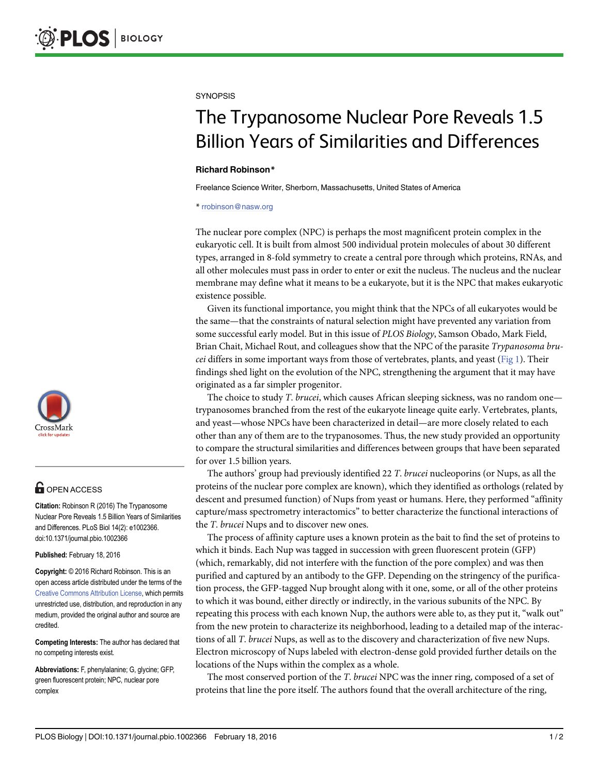

# **OPEN ACCESS**

Citation: Robinson R (2016) The Trypanosome Nuclear Pore Reveals 1.5 Billion Years of Similarities and Differences. PLoS Biol 14(2): e1002366. doi:10.1371/journal.pbio.1002366

Published: February 18, 2016

Copyright: © 2016 Richard Robinson. This is an open access article distributed under the terms of the [Creative Commons Attribution License,](http://creativecommons.org/licenses/by/4.0/) which permits unrestricted use, distribution, and reproduction in any medium, provided the original author and source are credited.

Competing Interests: The author has declared that no competing interests exist.

Abbreviations: F, phenylalanine; G, glycine; GFP, green fluorescent protein; NPC, nuclear pore complex

### <span id="page-0-0"></span>**SYNOPSIS**

# The Trypanosome Nuclear Pore Reveals 1.5 Billion Years of Similarities and Differences

## Richard Robinson\*

Freelance Science Writer, Sherborn, Massachusetts, United States of America

\* rrobinson@nasw.org

The nuclear pore complex (NPC) is perhaps the most magnificent protein complex in the eukaryotic cell. It is built from almost 500 individual protein molecules of about 30 different types, arranged in 8-fold symmetry to create a central pore through which proteins, RNAs, and all other molecules must pass in order to enter or exit the nucleus. The nucleus and the nuclear membrane may define what it means to be a eukaryote, but it is the NPC that makes eukaryotic existence possible.

Given its functional importance, you might think that the NPCs of all eukaryotes would be the same—that the constraints of natural selection might have prevented any variation from some successful early model. But in this issue of PLOS Biology, Samson Obado, Mark Field, Brian Chait, Michael Rout, and colleagues show that the NPC of the parasite Trypanosoma brucei differs in some important ways from those of vertebrates, plants, and yeast ( $Fig 1$ ). Their findings shed light on the evolution of the NPC, strengthening the argument that it may have originated as a far simpler progenitor.

The choice to study T. brucei, which causes African sleeping sickness, was no random one trypanosomes branched from the rest of the eukaryote lineage quite early. Vertebrates, plants, and yeast—whose NPCs have been characterized in detail—are more closely related to each other than any of them are to the trypanosomes. Thus, the new study provided an opportunity to compare the structural similarities and differences between groups that have been separated for over 1.5 billion years.

The authors' group had previously identified 22 T. brucei nucleoporins (or Nups, as all the proteins of the nuclear pore complex are known), which they identified as orthologs (related by descent and presumed function) of Nups from yeast or humans. Here, they performed "affinity capture/mass spectrometry interactomics" to better characterize the functional interactions of the T. brucei Nups and to discover new ones.

The process of affinity capture uses a known protein as the bait to find the set of proteins to which it binds. Each Nup was tagged in succession with green fluorescent protein (GFP) (which, remarkably, did not interfere with the function of the pore complex) and was then purified and captured by an antibody to the GFP. Depending on the stringency of the purification process, the GFP-tagged Nup brought along with it one, some, or all of the other proteins to which it was bound, either directly or indirectly, in the various subunits of the NPC. By repeating this process with each known Nup, the authors were able to, as they put it, "walk out" from the new protein to characterize its neighborhood, leading to a detailed map of the interactions of all T. brucei Nups, as well as to the discovery and characterization of five new Nups. Electron microscopy of Nups labeled with electron-dense gold provided further details on the locations of the Nups within the complex as a whole.

The most conserved portion of the T. brucei NPC was the inner ring, composed of a set of proteins that line the pore itself. The authors found that the overall architecture of the ring,